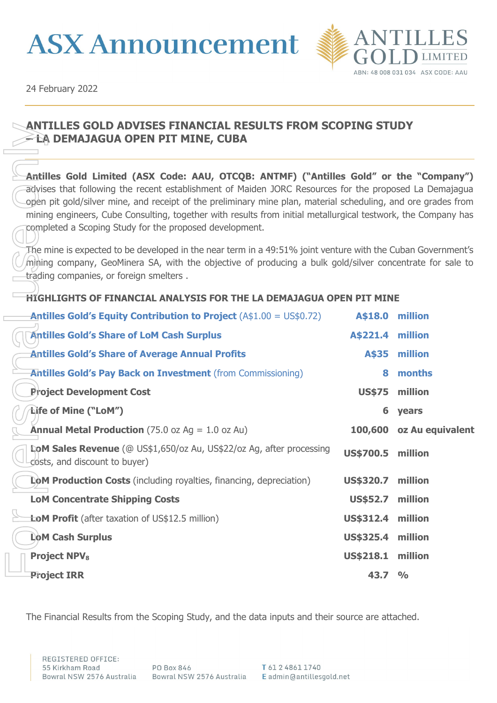



24 February 2022

## **ANTILLES GOLD ADVISES FINANCIAL RESULTS FROM SCOPING STUDY – LA DEMAJAGUA OPEN PIT MINE, CUBA**

## **HIGHLIGHTS OF FINANCIAL ANALYSIS FOR THE LA DEMAJAGUA OPEN PIT MINE**

| <u>ANTILLES GOLD ADVISES FINANCIAL RESULTS FROM SCOPING STUDY</u><br>≃ÈA DEMAJAGUA OPEN PIT MINE, CUBA                                                                                                                                                                                                                                                                                                                                                                                        |                                                                                                                                                                                                                         |                  |  |  |  |  |
|-----------------------------------------------------------------------------------------------------------------------------------------------------------------------------------------------------------------------------------------------------------------------------------------------------------------------------------------------------------------------------------------------------------------------------------------------------------------------------------------------|-------------------------------------------------------------------------------------------------------------------------------------------------------------------------------------------------------------------------|------------------|--|--|--|--|
| Antilles Gold Limited (ASX Code: AAU, OTCQB: ANTMF) ("Antilles Gold" or the "Company")<br>advises that following the recent establishment of Maiden JORC Resources for the proposed La Demajagua<br>open pit gold/silver mine, and receipt of the preliminary mine plan, material scheduling, and ore grades from<br>mining engineers, Cube Consulting, together with results from initial metallurgical testwork, the Company has<br>completed a Scoping Study for the proposed development. |                                                                                                                                                                                                                         |                  |  |  |  |  |
| trading companies, or foreign smelters.                                                                                                                                                                                                                                                                                                                                                                                                                                                       | The mine is expected to be developed in the near term in a 49:51% joint venture with the Cuban Government's<br>mining company, GeoMinera SA, with the objective of producing a bulk gold/silver concentrate for sale to |                  |  |  |  |  |
| HIGHLIGHTS OF FINANCIAL ANALYSIS FOR THE LA DEMAJAGUA OPEN PIT MINE                                                                                                                                                                                                                                                                                                                                                                                                                           |                                                                                                                                                                                                                         |                  |  |  |  |  |
| <b>Antilles Gold's Equity Contribution to Project</b> $(A$1.00 = US$0.72)$                                                                                                                                                                                                                                                                                                                                                                                                                    | A\$18.0                                                                                                                                                                                                                 | million          |  |  |  |  |
| <b>Antilles Gold's Share of LoM Cash Surplus</b>                                                                                                                                                                                                                                                                                                                                                                                                                                              | A\$221.4 million                                                                                                                                                                                                        |                  |  |  |  |  |
| <b>Antilles Gold's Share of Average Annual Profits</b>                                                                                                                                                                                                                                                                                                                                                                                                                                        | A\$35                                                                                                                                                                                                                   | million          |  |  |  |  |
| <b>Antilles Gold's Pay Back on Investment</b> (from Commissioning)                                                                                                                                                                                                                                                                                                                                                                                                                            | 8                                                                                                                                                                                                                       | months           |  |  |  |  |
| <b>Project Development Cost</b>                                                                                                                                                                                                                                                                                                                                                                                                                                                               | <b>US\$75</b>                                                                                                                                                                                                           | million          |  |  |  |  |
| Life of Mine ("LoM")                                                                                                                                                                                                                                                                                                                                                                                                                                                                          | 6                                                                                                                                                                                                                       | years            |  |  |  |  |
| <b>Annual Metal Production</b> (75.0 oz Ag = $1.0$ oz Au)                                                                                                                                                                                                                                                                                                                                                                                                                                     | 100,600                                                                                                                                                                                                                 | oz Au equivalent |  |  |  |  |
| <b>LoM Sales Revenue</b> (@ US\$1,650/oz Au, US\$22/oz Ag, after processing<br>costs, and discount to buyer)                                                                                                                                                                                                                                                                                                                                                                                  | <b>US\$700.5</b>                                                                                                                                                                                                        | million          |  |  |  |  |
| LoM Production Costs (including royalties, financing, depreciation)                                                                                                                                                                                                                                                                                                                                                                                                                           | <b>US\$320.7</b>                                                                                                                                                                                                        | million          |  |  |  |  |
| <b>LoM Concentrate Shipping Costs</b>                                                                                                                                                                                                                                                                                                                                                                                                                                                         | US\$52.7 million                                                                                                                                                                                                        |                  |  |  |  |  |
| <b>LoM Profit</b> (after taxation of US\$12.5 million)                                                                                                                                                                                                                                                                                                                                                                                                                                        | US\$312.4 million                                                                                                                                                                                                       |                  |  |  |  |  |
| <b>LoM Cash Surplus</b>                                                                                                                                                                                                                                                                                                                                                                                                                                                                       | <b>US\$325.4</b>                                                                                                                                                                                                        | million          |  |  |  |  |
| <b>Project NPV<sub>8</sub></b>                                                                                                                                                                                                                                                                                                                                                                                                                                                                | US\$218.1                                                                                                                                                                                                               | million          |  |  |  |  |
| <b>Project IRR</b>                                                                                                                                                                                                                                                                                                                                                                                                                                                                            | 43.7                                                                                                                                                                                                                    | $\frac{O}{O}$    |  |  |  |  |
|                                                                                                                                                                                                                                                                                                                                                                                                                                                                                               |                                                                                                                                                                                                                         |                  |  |  |  |  |
| The Financial Results from the Scoping Study, and the data inputs and their source are attached.                                                                                                                                                                                                                                                                                                                                                                                              |                                                                                                                                                                                                                         |                  |  |  |  |  |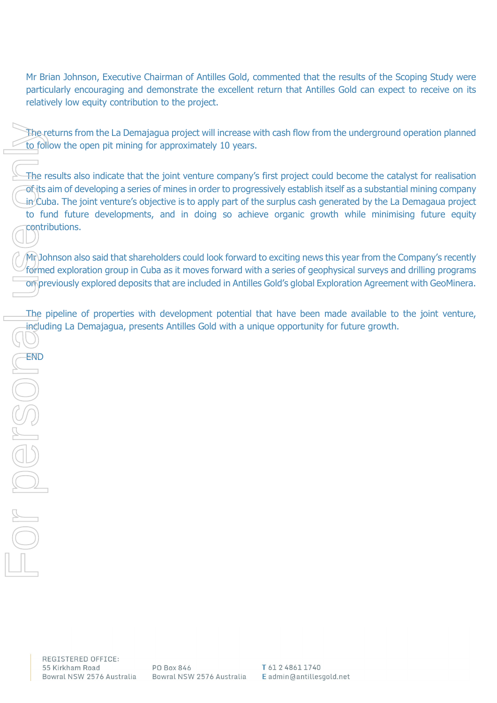Mr Brian Johnson, Executive Chairman of Antilles Gold, commented that the results of the Scoping Study were particularly encouraging and demonstrate the excellent return that Antilles Gold can expect to receive on its relatively low equity contribution to the project.

The returns from the La Demajagua project will increase with cash flow from the underground operation planned to follow the open pit mining for approximately 10 years.

The results also indicate that the joint venture company's first project could become the catalyst for realisation of its aim of developing a series of mines in order to progressively establish itself as a substantial mining company  $\mu$  Cuba. The joint venture's objective is to apply part of the surplus cash generated by the La Demagaua project to fund future developments, and in doing so achieve organic growth while minimising future equity contributions.

Mr Johnson also said that shareholders could look forward to exciting news this year from the Company's recently formed exploration group in Cuba as it moves forward with a series of geophysical surveys and drilling programs on previously explored deposits that are included in Antilles Gold's global Exploration Agreement with GeoMinera.

The pipeline of properties with development potential that have been made available to the joint venture, including La Demajagua, presents Antilles Gold with a unique opportunity for future growth.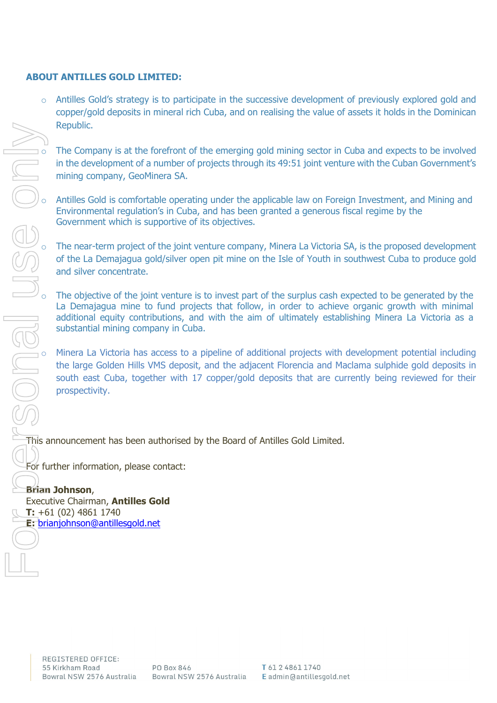## **ABOUT ANTILLES GOLD LIMITED:**

 $\circ$  Antilles Gold's strategy is to participate in the successive development of previously explored gold and copper/gold deposits in mineral rich Cuba, and on realising the value of assets it holds in the Dominican Republic.

The Company is at the forefront of the emerging gold mining sector in Cuba and expects to be involved in the development of a number of projects through its 49:51 joint venture with the Cuban Government's mining company, GeoMinera SA.

Antilles Gold is comfortable operating under the applicable law on Foreign Investment, and Mining and Environmental regulation's in Cuba, and has been granted a generous fiscal regime by the Government which is supportive of its objectives.

The near-term project of the joint venture company, Minera La Victoria SA, is the proposed development of the La Demajagua gold/silver open pit mine on the Isle of Youth in southwest Cuba to produce gold and silver concentrate.

O The objective of the joint venture is to invest part of the surplus cash expected to be generated by the La Demajagua mine to fund projects that follow, in order to achieve organic growth with minimal additional equity c La Demajagua mine to fund projects that follow, in order to achieve organic growth with minimal additional equity contributions, and with the aim of ultimately establishing Minera La Victoria as a substantial mining company in Cuba.

Minera La Victoria has access to a pipeline of additional projects with development potential including the large Golden Hills VMS deposit, and the adjacent Florencia and Maclama sulphide gold deposits in south east Cuba, together with 17 copper/gold deposits that are currently being reviewed for their prospectivity.

This announcement has been authorised by the Board of Antilles Gold Limited.

For further information, please contact:

## **Brian Johnson**,

Executive Chairman, **Antilles Gold T:** +61 (02) 4861 1740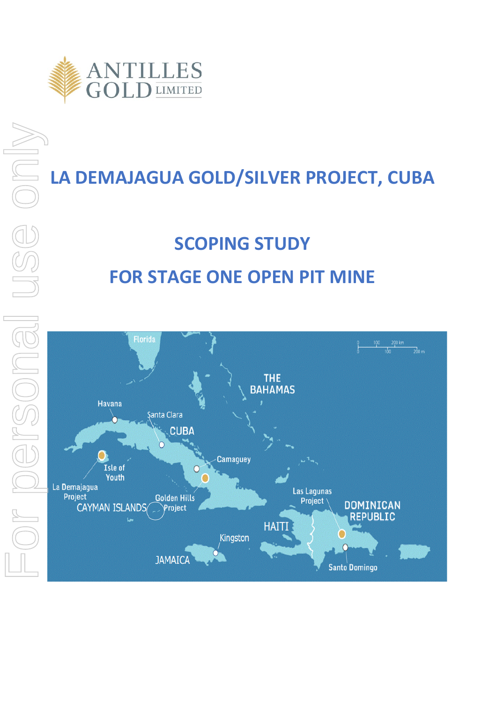

## **LA DEMAJAGUA GOLD/SILVER PROJECT, CUBA**

# **SCOPING STUDY FOR STAGE ONE OPEN PIT MINE**

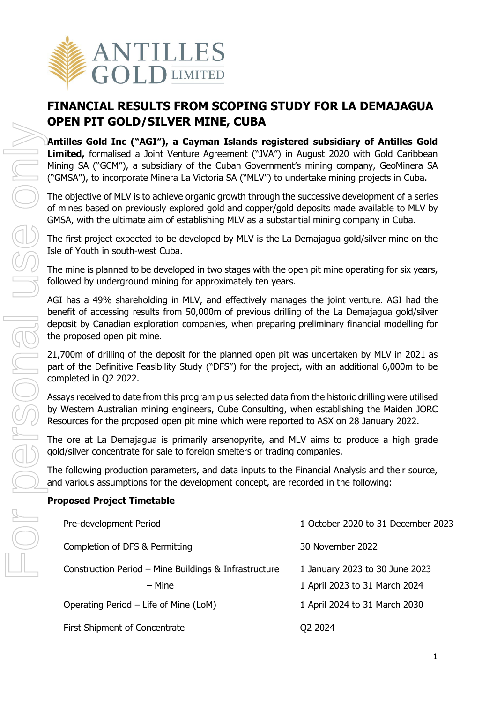

## **FINANCIAL RESULTS FROM SCOPING STUDY FOR LA DEMAJAGUA OPEN PIT GOLD/SILVER MINE, CUBA**

**Antilles Gold Inc ("AGI"), a Cayman Islands registered subsidiary of Antilles Gold Limited,** formalised a Joint Venture Agreement ("JVA") in August 2020 with Gold Caribbean Mining SA ("GCM"), a subsidiary of the Cuban Government's mining company, GeoMinera SA ("GMSA"), to incorporate Minera La Victoria SA ("MLV") to undertake mining projects in Cuba.

The objective of MLV is to achieve organic growth through the successive development of a series of mines based on previously explored gold and copper/gold deposits made available to MLV by GMSA, with the ultimate aim of establishing MLV as a substantial mining company in Cuba.

The first project expected to be developed by MLV is the La Demajagua gold/silver mine on the Isle of Youth in south-west Cuba.

The mine is planned to be developed in two stages with the open pit mine operating for six years, followed by underground mining for approximately ten years.

AGI has a 49% shareholding in MLV, and effectively manages the joint venture. AGI had the benefit of accessing results from 50,000m of previous drilling of the La Demajagua gold/silver deposit by Canadian exploration companies, when preparing preliminary financial modelling for the proposed open pit mine.

21,700m of drilling of the deposit for the planned open pit was undertaken by MLV in 2021 as part of the Definitive Feasibility Study ("DFS") for the project, with an additional 6,000m to be completed in Q2 2022.

Assays received to date from this program plus selected data from the historic drilling were utilised by Western Australian mining engineers, Cube Consulting, when establishing the Maiden JORC Resources for the proposed open pit mine which were reported to ASX on 28 January 2022.

The ore at La Demajagua is primarily arsenopyrite, and MLV aims to produce a high grade gold/silver concentrate for sale to foreign smelters or trading companies.

The following production parameters, and data inputs to the Financial Analysis and their source, and various assumptions for the development concept, are recorded in the following:

## **Proposed Project Timetable**

| Pre-development Period                                          | 1 October 2020 to 31 December 2023                              |
|-----------------------------------------------------------------|-----------------------------------------------------------------|
| Completion of DFS & Permitting                                  | 30 November 2022                                                |
| Construction Period - Mine Buildings & Infrastructure<br>– Mine | 1 January 2023 to 30 June 2023<br>1 April 2023 to 31 March 2024 |
| Operating Period - Life of Mine (LoM)                           | 1 April 2024 to 31 March 2030                                   |
| First Shipment of Concentrate                                   | O <sub>2</sub> 2024                                             |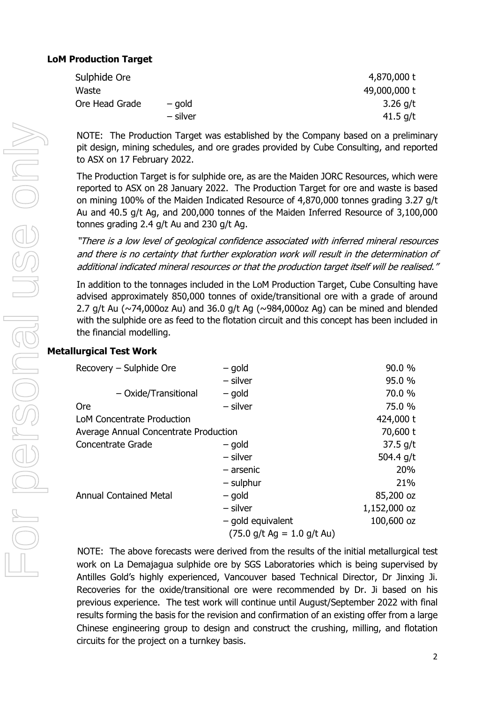| Sulphide Ore   |          | 4,870,000 t  |
|----------------|----------|--------------|
| Waste          |          | 49,000,000 t |
| Ore Head Grade | – gold   | 3.26 $q/t$   |
|                | – silver | 41.5 $g/t$   |

NOTE: The Production Target was established by the Company based on a preliminary pit design, mining schedules, and ore grades provided by Cube Consulting, and reported to ASX on 17 February 2022.

The Production Target is for sulphide ore, as are the Maiden JORC Resources, which were reported to ASX on 28 January 2022. The Production Target for ore and waste is based on mining 100% of the Maiden Indicated Resource of 4,870,000 tonnes grading 3.27 g/t Au and 40.5 g/t Ag, and 200,000 tonnes of the Maiden Inferred Resource of 3,100,000 tonnes grading 2.4 g/t Au and 230 g/t Ag.

"There is a low level of geological confidence associated with inferred mineral resources and there is no certainty that further exploration work will result in the determination of additional indicated mineral resources or that the production target itself will be realised."

In addition to the tonnages included in the LoM Production Target, Cube Consulting have advised approximately 850,000 tonnes of oxide/transitional ore with a grade of around 2.7 g/t Au ( $\sim$ 74,000oz Au) and 36.0 g/t Ag ( $\sim$ 984,000oz Ag) can be mined and blended with the sulphide ore as feed to the flotation circuit and this concept has been included in the financial modelling.

## **Metallurgical Test Work**

| Recovery - Sulphide Ore               | - gold                       | 90.0 %       |
|---------------------------------------|------------------------------|--------------|
|                                       | $-$ silver                   | 95.0 %       |
| - Oxide/Transitional                  | – gold                       | 70.0 %       |
| <b>Ore</b>                            | $-$ silver                   | 75.0 %       |
| LoM Concentrate Production            |                              | 424,000 t    |
| Average Annual Concentrate Production |                              | 70,600 t     |
| <b>Concentrate Grade</b>              | – gold                       | $37.5$ g/t   |
|                                       | - silver                     | 504.4 g/t    |
|                                       | – arsenic                    | 20%          |
|                                       | $-$ sulphur                  | 21%          |
| <b>Annual Contained Metal</b>         | – gold                       | 85,200 oz    |
|                                       | - silver                     | 1,152,000 oz |
|                                       | $-$ gold equivalent          | 100,600 oz   |
|                                       | $(75.0$ g/t Ag = 1.0 g/t Au) |              |

NOTE: The above forecasts were derived from the results of the initial metallurgical test work on La Demajagua sulphide ore by SGS Laboratories which is being supervised by Antilles Gold's highly experienced, Vancouver based Technical Director, Dr Jinxing Ji. Recoveries for the oxide/transitional ore were recommended by Dr. Ji based on his previous experience. The test work will continue until August/September 2022 with final results forming the basis for the revision and confirmation of an existing offer from a large Chinese engineering group to design and construct the crushing, milling, and flotation circuits for the project on a turnkey basis.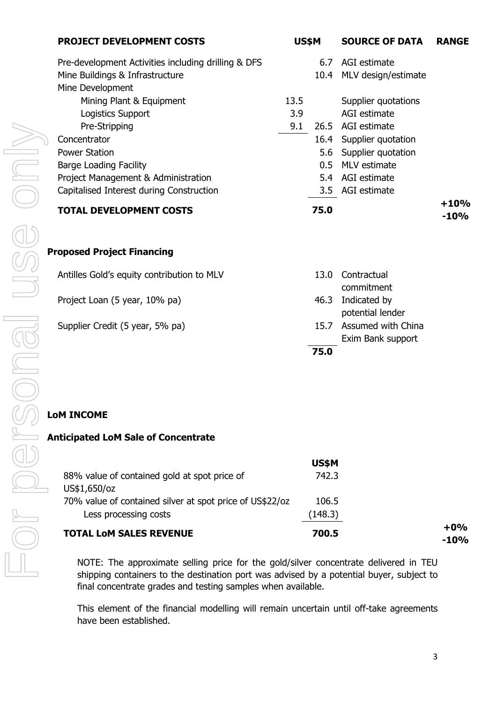| <b>PROJECT DEVELOPMENT COSTS</b>                                                                           | US\$M |               | <b>SOURCE OF DATA</b>                   | <b>RANGE</b>     |
|------------------------------------------------------------------------------------------------------------|-------|---------------|-----------------------------------------|------------------|
| Pre-development Activities including drilling & DFS<br>Mine Buildings & Infrastructure<br>Mine Development |       | 6.7<br>10.4   | AGI estimate<br>MLV design/estimate     |                  |
| Mining Plant & Equipment                                                                                   | 13.5  |               | Supplier quotations                     |                  |
| Logistics Support                                                                                          | 3.9   |               | AGI estimate                            |                  |
| Pre-Stripping                                                                                              | 9.1   |               | 26.5 AGI estimate                       |                  |
| Concentrator                                                                                               |       |               | 16.4 Supplier quotation                 |                  |
| <b>Power Station</b>                                                                                       |       | 5.6           | Supplier quotation                      |                  |
| <b>Barge Loading Facility</b>                                                                              |       | $0.5^{\circ}$ | MLV estimate                            |                  |
| Project Management & Administration                                                                        |       | 5.4           | AGI estimate                            |                  |
| Capitalised Interest during Construction                                                                   |       | 3.5           | AGI estimate                            |                  |
| <b>TOTAL DEVELOPMENT COSTS</b>                                                                             |       | 75.0          |                                         | $+10%$<br>$-10%$ |
|                                                                                                            |       |               |                                         |                  |
| <b>Proposed Project Financing</b>                                                                          |       |               |                                         |                  |
| Antilles Gold's equity contribution to MLV                                                                 |       | 13.0          | Contractual<br>commitment               |                  |
| Project Loan (5 year, 10% pa)                                                                              |       | 46.3          | Indicated by<br>potential lender        |                  |
| Supplier Credit (5 year, 5% pa)                                                                            |       | 15.7          | Assumed with China<br>Exim Bank support |                  |
|                                                                                                            |       | 75.0          |                                         |                  |

## **Anticipated LoM Sale of Concentrate**

|                                                              | US\$M   |                  |
|--------------------------------------------------------------|---------|------------------|
| 88% value of contained gold at spot price of<br>US\$1,650/oz | 742.3   |                  |
| 70% value of contained silver at spot price of US\$22/oz     | 106.5   |                  |
| Less processing costs                                        | (148.3) |                  |
| <b>TOTAL LOM SALES REVENUE</b>                               | 700.5   | $+0\%$<br>$-10%$ |

NOTE: The approximate selling price for the gold/silver concentrate delivered in TEU shipping containers to the destination port was advised by a potential buyer, subject to final concentrate grades and testing samples when available.

This element of the financial modelling will remain uncertain until off-take agreements have been established.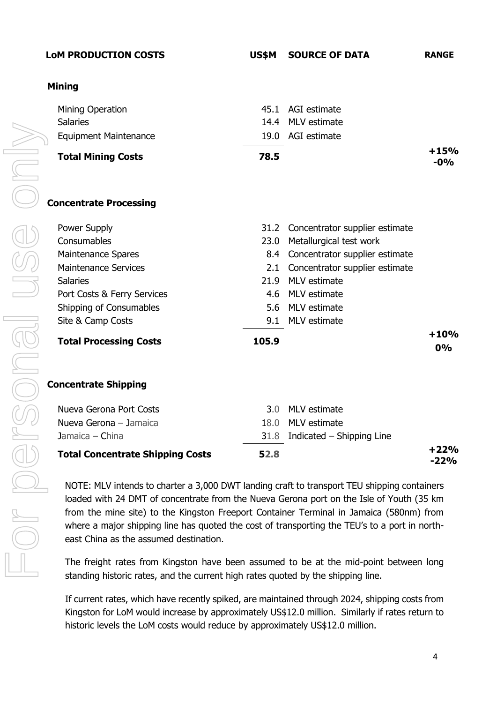## **LoM PRODUCTION COSTS US\$M SOURCE OF DATA RANGE**

## **Mining**

| Mining Operation                        |       | 45.1 AGI estimate                   |                  |
|-----------------------------------------|-------|-------------------------------------|------------------|
| <b>Salaries</b>                         |       | 14.4 MLV estimate                   |                  |
| <b>Equipment Maintenance</b>            |       | 19.0 AGI estimate                   |                  |
| <b>Total Mining Costs</b>               | 78.5  |                                     | $+15%$<br>$-0\%$ |
| <b>Concentrate Processing</b>           |       |                                     |                  |
| Power Supply                            |       | 31.2 Concentrator supplier estimate |                  |
| Consumables                             |       | 23.0 Metallurgical test work        |                  |
| <b>Maintenance Spares</b>               |       | 8.4 Concentrator supplier estimate  |                  |
| <b>Maintenance Services</b>             |       | 2.1 Concentrator supplier estimate  |                  |
| <b>Salaries</b>                         |       | 21.9 MLV estimate                   |                  |
| Port Costs & Ferry Services             |       | 4.6 MLV estimate                    |                  |
| Shipping of Consumables                 |       | 5.6 MLV estimate                    |                  |
| Site & Camp Costs                       |       | 9.1 MLV estimate                    |                  |
| <b>Total Processing Costs</b>           | 105.9 |                                     | $+10%$<br>0%     |
| <b>Concentrate Shipping</b>             |       |                                     |                  |
| Nueva Gerona Port Costs                 |       | 3.0 MLV estimate                    |                  |
| Nueva Gerona - Jamaica                  |       | 18.0 MLV estimate                   |                  |
| Jamaica - China                         |       | $31.8$ Indicated – Shipping Line    |                  |
| <b>Total Concentrate Shipping Costs</b> | 52.8  |                                     | $+22%$<br>$-22%$ |

NOTE: MLV intends to charter a 3,000 DWT landing craft to transport TEU shipping containers loaded with 24 DMT of concentrate from the Nueva Gerona port on the Isle of Youth (35 km from the mine site) to the Kingston Freeport Container Terminal in Jamaica (580nm) from where a major shipping line has quoted the cost of transporting the TEU's to a port in northeast China as the assumed destination.

The freight rates from Kingston have been assumed to be at the mid-point between long standing historic rates, and the current high rates quoted by the shipping line.

If current rates, which have recently spiked, are maintained through 2024, shipping costs from Kingston for LoM would increase by approximately US\$12.0 million. Similarly if rates return to historic levels the LoM costs would reduce by approximately US\$12.0 million.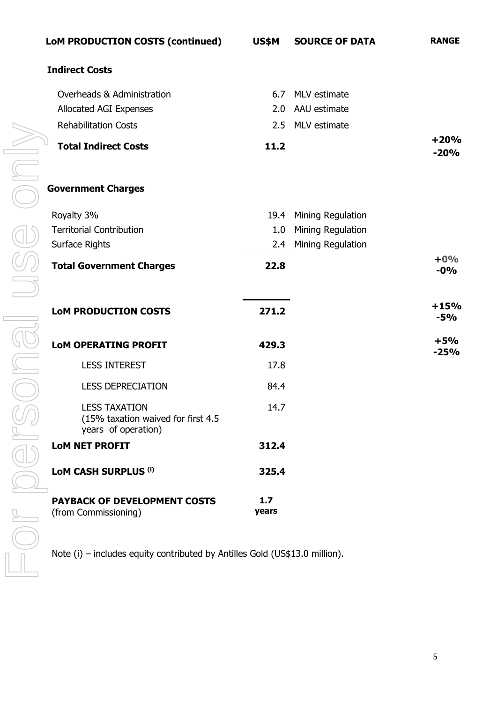| LoM PRODUCTION COSTS (continued)                                                  | US\$M        | <b>SOURCE OF DATA</b>  | <b>RANGE</b>     |
|-----------------------------------------------------------------------------------|--------------|------------------------|------------------|
| <b>Indirect Costs</b>                                                             |              |                        |                  |
| Overheads & Administration                                                        |              | 6.7 MLV estimate       |                  |
| Allocated AGI Expenses                                                            |              | 2.0 AAU estimate       |                  |
| <b>Rehabilitation Costs</b>                                                       |              | 2.5 MLV estimate       |                  |
| <b>Total Indirect Costs</b>                                                       | 11.2         |                        | $+20%$<br>$-20%$ |
| <b>Government Charges</b>                                                         |              |                        |                  |
| Royalty 3%                                                                        |              | 19.4 Mining Regulation |                  |
| <b>Territorial Contribution</b>                                                   |              | 1.0 Mining Regulation  |                  |
| Surface Rights                                                                    |              | 2.4 Mining Regulation  |                  |
| <b>Total Government Charges</b>                                                   | 22.8         |                        | $+0\%$<br>$-0\%$ |
| <b>LoM PRODUCTION COSTS</b>                                                       | 271.2        |                        | $+15%$<br>$-5%$  |
| <b>LOM OPERATING PROFIT</b><br>$\Box$                                             | 429.3        |                        | $+5%$<br>$-25%$  |
| <b>LESS INTEREST</b><br>J                                                         | 17.8         |                        |                  |
| <b>LESS DEPRECIATION</b>                                                          | 84.4         |                        |                  |
| <b>LESS TAXATION</b><br>(15% taxation waived for first 4.5<br>years of operation) | 14.7         |                        |                  |
| <b>LOM NET PROFIT</b>                                                             | 312.4        |                        |                  |
| <b>LoM CASH SURPLUS (i)</b>                                                       | 325.4        |                        |                  |
| <b>PAYBACK OF DEVELOPMENT COSTS</b><br>(from Commissioning)                       | 1.7<br>years |                        |                  |

Note (i) – includes equity contributed by Antilles Gold (US\$13.0 million).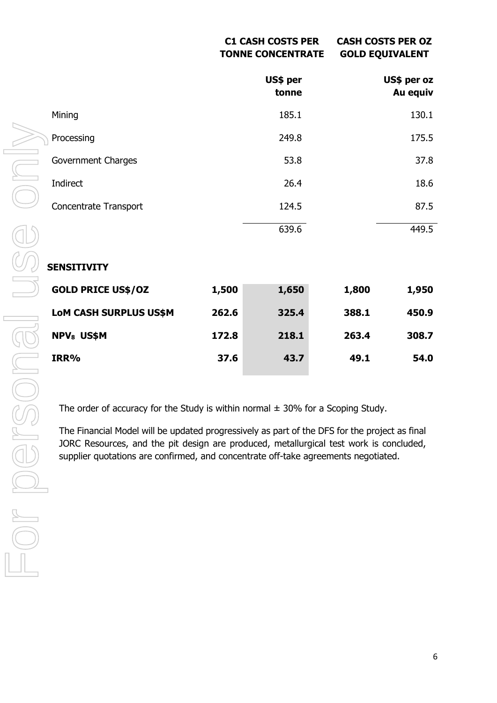### **C1 CASH COSTS PER TONNE CONCENTRATE CASH COSTS PER OZ GOLD EQUIVALENT**

|                              |       | US\$ per<br>tonne |       | US\$ per oz<br>Au equiv |
|------------------------------|-------|-------------------|-------|-------------------------|
| Mining                       |       | 185.1             |       | 130.1                   |
| Processing                   |       | 249.8             |       | 175.5                   |
| Government Charges           |       | 53.8              |       | 37.8                    |
| Indirect                     |       | 26.4              |       | 18.6                    |
| <b>Concentrate Transport</b> |       | 124.5             |       | 87.5                    |
|                              |       | 639.6             |       | 449.5                   |
| <b>SENSITIVITY</b>           |       |                   |       |                         |
| <b>GOLD PRICE US\$/OZ</b>    | 1,500 | 1,650             | 1,800 | 1,950                   |
| LoM CASH SURPLUS US\$M       | 262.6 | 325.4             | 388.1 | 450.9                   |
| <b>NPV<sub>8</sub></b> US\$M | 172.8 | 218.1             | 263.4 | 308.7                   |
| IRR%                         | 37.6  | 43.7              | 49.1  | 54.0                    |

The order of accuracy for the Study is within normal  $\pm$  30% for a Scoping Study.

The Financial Model will be updated progressively as part of the DFS for the project as final JORC Resources, and the pit design are produced, metallurgical test work is concluded, supplier quotations are confirmed, and concentrate off-take agreements negotiated.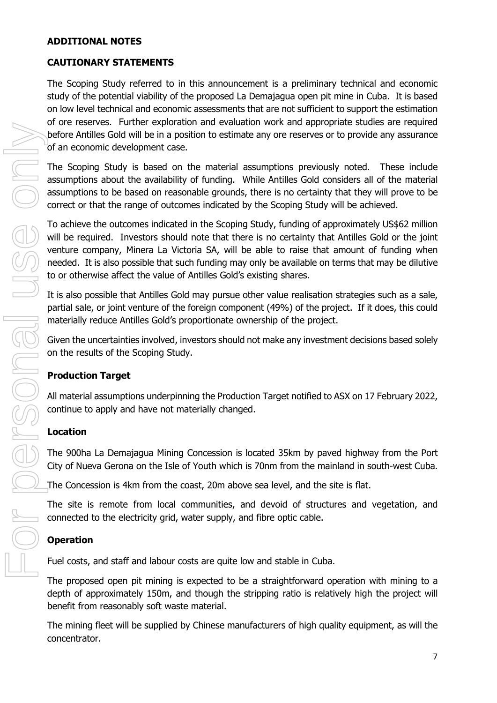### **ADDITIONAL NOTES**

## **CAUTIONARY STATEMENTS**

The Scoping Study referred to in this announcement is a preliminary technical and economic study of the potential viability of the proposed La Demajagua open pit mine in Cuba. It is based on low level technical and economic assessments that are not sufficient to support the estimation of ore reserves. Further exploration and evaluation work and appropriate studies are required before Antilles Gold will be in a position to estimate any ore reserves or to provide any assurance of an economic development case.

The Scoping Study is based on the material assumptions previously noted. These include assumptions about the availability of funding. While Antilles Gold considers all of the material assumptions to be based on reasonable grounds, there is no certainty that they will prove to be correct or that the range of outcomes indicated by the Scoping Study will be achieved.

To achieve the outcomes indicated in the Scoping Study, funding of approximately US\$62 million will be required. Investors should note that there is no certainty that Antilles Gold or the joint venture company, Minera La Victoria SA, will be able to raise that amount of funding when needed. It is also possible that such funding may only be available on terms that may be dilutive to or otherwise affect the value of Antilles Gold's existing shares.

It is also possible that Antilles Gold may pursue other value realisation strategies such as a sale, partial sale, or joint venture of the foreign component (49%) of the project. If it does, this could materially reduce Antilles Gold's proportionate ownership of the project.

Given the uncertainties involved, investors should not make any investment decisions based solely on the results of the Scoping Study.

## **Production Target**

All material assumptions underpinning the Production Target notified to ASX on 17 February 2022, continue to apply and have not materially changed.

## **Location**

The 900ha La Demajagua Mining Concession is located 35km by paved highway from the Port City of Nueva Gerona on the Isle of Youth which is 70nm from the mainland in south-west Cuba.

The Concession is 4km from the coast, 20m above sea level, and the site is flat.

The site is remote from local communities, and devoid of structures and vegetation, and connected to the electricity grid, water supply, and fibre optic cable.

## **Operation**

Fuel costs, and staff and labour costs are quite low and stable in Cuba.

The proposed open pit mining is expected to be a straightforward operation with mining to a depth of approximately 150m, and though the stripping ratio is relatively high the project will benefit from reasonably soft waste material.

The mining fleet will be supplied by Chinese manufacturers of high quality equipment, as will the concentrator.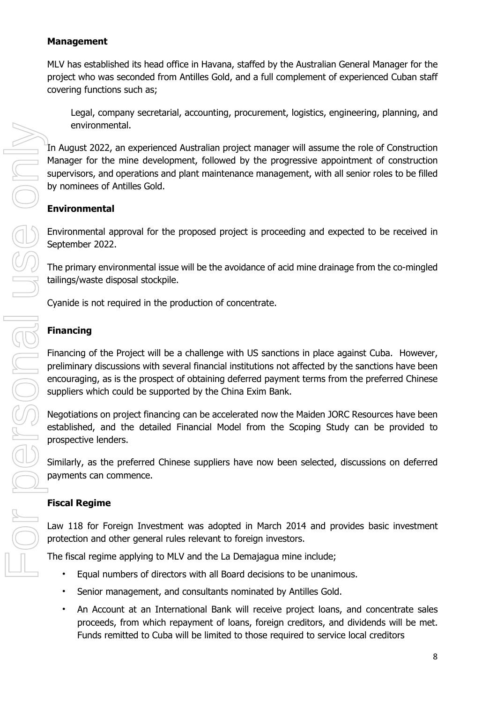## **Management**

MLV has established its head office in Havana, staffed by the Australian General Manager for the project who was seconded from Antilles Gold, and a full complement of experienced Cuban staff covering functions such as;

Legal, company secretarial, accounting, procurement, logistics, engineering, planning, and environmental.

In August 2022, an experienced Australian project manager will assume the role of Construction Manager for the mine development, followed by the progressive appointment of construction supervisors, and operations and plant maintenance management, with all senior roles to be filled by nominees of Antilles Gold.

## **Environmental**

Environmental approval for the proposed project is proceeding and expected to be received in September 2022.

The primary environmental issue will be the avoidance of acid mine drainage from the co-mingled tailings/waste disposal stockpile.

Cyanide is not required in the production of concentrate.

## **Financing**

Financing of the Project will be a challenge with US sanctions in place against Cuba. However, preliminary discussions with several financial institutions not affected by the sanctions have been encouraging, as is the prospect of obtaining deferred payment terms from the preferred Chinese suppliers which could be supported by the China Exim Bank.

Negotiations on project financing can be accelerated now the Maiden JORC Resources have been established, and the detailed Financial Model from the Scoping Study can be provided to prospective lenders.

Similarly, as the preferred Chinese suppliers have now been selected, discussions on deferred payments can commence.

## **Fiscal Regime**

Law 118 for Foreign Investment was adopted in March 2014 and provides basic investment protection and other general rules relevant to foreign investors.

The fiscal regime applying to MLV and the La Demajagua mine include;

- Equal numbers of directors with all Board decisions to be unanimous.
- Senior management, and consultants nominated by Antilles Gold.
- An Account at an International Bank will receive project loans, and concentrate sales proceeds, from which repayment of loans, foreign creditors, and dividends will be met. Funds remitted to Cuba will be limited to those required to service local creditors